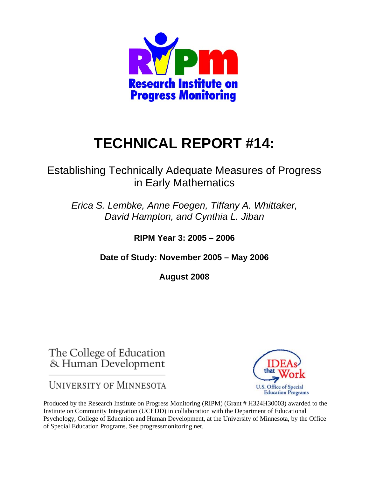

# **TECHNICAL REPORT #14:**

## Establishing Technically Adequate Measures of Progress in Early Mathematics

*Erica S. Lembke, Anne Foegen, Tiffany A. Whittaker, David Hampton, and Cynthia L. Jiban* 

**RIPM Year 3: 2005 – 2006** 

**Date of Study: November 2005 – May 2006** 

**August 2008** 

The College of Education & Human Development

**UNIVERSITY OF MINNESOTA** 



Produced by the Research Institute on Progress Monitoring (RIPM) (Grant # H324H30003) awarded to the Institute on Community Integration (UCEDD) in collaboration with the Department of Educational Psychology, College of Education and Human Development, at the University of Minnesota, by the Office of Special Education Programs. See progressmonitoring.net.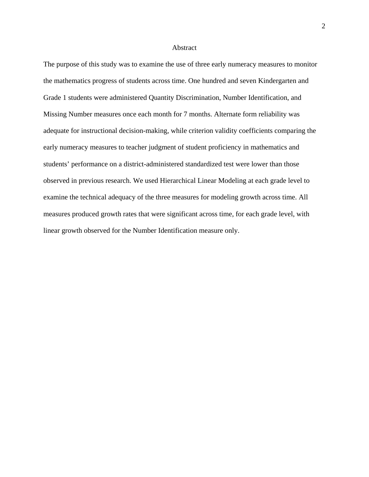#### Abstract

The purpose of this study was to examine the use of three early numeracy measures to monitor the mathematics progress of students across time. One hundred and seven Kindergarten and Grade 1 students were administered Quantity Discrimination, Number Identification, and Missing Number measures once each month for 7 months. Alternate form reliability was adequate for instructional decision-making, while criterion validity coefficients comparing the early numeracy measures to teacher judgment of student proficiency in mathematics and students' performance on a district-administered standardized test were lower than those observed in previous research. We used Hierarchical Linear Modeling at each grade level to examine the technical adequacy of the three measures for modeling growth across time. All measures produced growth rates that were significant across time, for each grade level, with linear growth observed for the Number Identification measure only.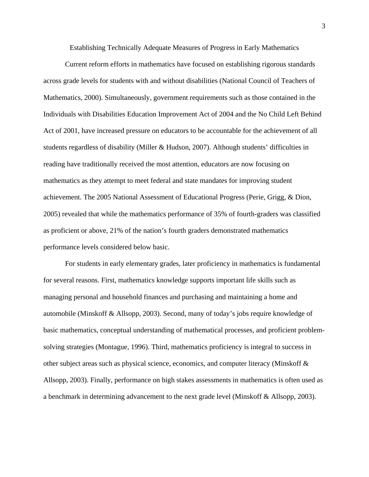Establishing Technically Adequate Measures of Progress in Early Mathematics

Current reform efforts in mathematics have focused on establishing rigorous standards across grade levels for students with and without disabilities (National Council of Teachers of Mathematics, 2000). Simultaneously, government requirements such as those contained in the Individuals with Disabilities Education Improvement Act of 2004 and the No Child Left Behind Act of 2001, have increased pressure on educators to be accountable for the achievement of all students regardless of disability (Miller & Hudson, 2007). Although students' difficulties in reading have traditionally received the most attention, educators are now focusing on mathematics as they attempt to meet federal and state mandates for improving student achievement. The 2005 National Assessment of Educational Progress (Perie, Grigg, & Dion, 2005) revealed that while the mathematics performance of 35% of fourth-graders was classified as proficient or above, 21% of the nation's fourth graders demonstrated mathematics performance levels considered below basic.

 For students in early elementary grades, later proficiency in mathematics is fundamental for several reasons. First, mathematics knowledge supports important life skills such as managing personal and household finances and purchasing and maintaining a home and automobile (Minskoff & Allsopp, 2003). Second, many of today's jobs require knowledge of basic mathematics, conceptual understanding of mathematical processes, and proficient problemsolving strategies (Montague, 1996). Third, mathematics proficiency is integral to success in other subject areas such as physical science, economics, and computer literacy (Minskoff & Allsopp, 2003). Finally, performance on high stakes assessments in mathematics is often used as a benchmark in determining advancement to the next grade level (Minskoff & Allsopp, 2003).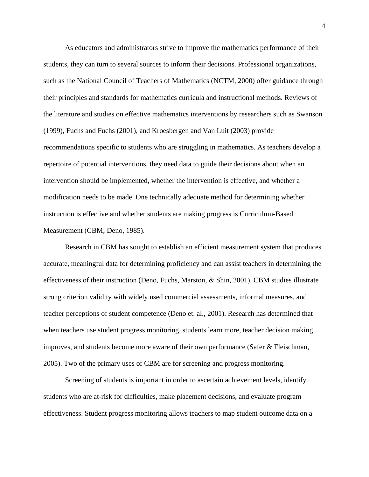As educators and administrators strive to improve the mathematics performance of their students, they can turn to several sources to inform their decisions. Professional organizations, such as the National Council of Teachers of Mathematics (NCTM, 2000) offer guidance through their principles and standards for mathematics curricula and instructional methods. Reviews of the literature and studies on effective mathematics interventions by researchers such as Swanson (1999), Fuchs and Fuchs (2001), and Kroesbergen and Van Luit (2003) provide recommendations specific to students who are struggling in mathematics. As teachers develop a repertoire of potential interventions, they need data to guide their decisions about when an intervention should be implemented, whether the intervention is effective, and whether a modification needs to be made. One technically adequate method for determining whether instruction is effective and whether students are making progress is Curriculum-Based Measurement (CBM; Deno, 1985).

Research in CBM has sought to establish an efficient measurement system that produces accurate, meaningful data for determining proficiency and can assist teachers in determining the effectiveness of their instruction (Deno, Fuchs, Marston, & Shin, 2001). CBM studies illustrate strong criterion validity with widely used commercial assessments, informal measures, and teacher perceptions of student competence (Deno et. al., 2001). Research has determined that when teachers use student progress monitoring, students learn more, teacher decision making improves, and students become more aware of their own performance (Safer & Fleischman, 2005). Two of the primary uses of CBM are for screening and progress monitoring.

Screening of students is important in order to ascertain achievement levels, identify students who are at-risk for difficulties, make placement decisions, and evaluate program effectiveness. Student progress monitoring allows teachers to map student outcome data on a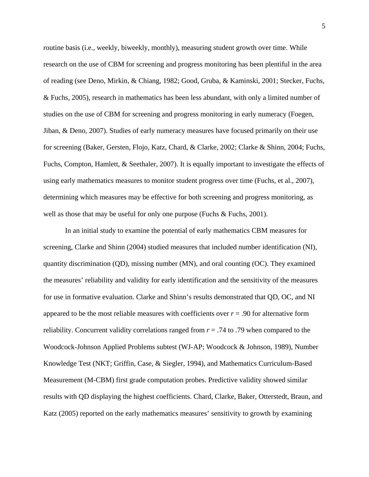routine basis (i.e., weekly, biweekly, monthly), measuring student growth over time. While research on the use of CBM for screening and progress monitoring has been plentiful in the area of reading (see Deno, Mirkin, & Chiang, 1982; Good, Gruba, & Kaminski, 2001; Stecker, Fuchs, & Fuchs, 2005), research in mathematics has been less abundant, with only a limited number of studies on the use of CBM for screening and progress monitoring in early numeracy (Foegen, Jiban, & Deno, 2007). Studies of early numeracy measures have focused primarily on their use for screening (Baker, Gersten, Flojo, Katz, Chard, & Clarke, 2002; Clarke & Shinn, 2004; Fuchs, Fuchs, Compton, Hamlett, & Seethaler, 2007). It is equally important to investigate the effects of using early mathematics measures to monitor student progress over time (Fuchs, et al., 2007), determining which measures may be effective for both screening and progress monitoring, as well as those that may be useful for only one purpose (Fuchs & Fuchs, 2001).

In an initial study to examine the potential of early mathematics CBM measures for screening, Clarke and Shinn (2004) studied measures that included number identification (NI), quantity discrimination (QD), missing number (MN), and oral counting (OC). They examined the measures' reliability and validity for early identification and the sensitivity of the measures for use in formative evaluation. Clarke and Shinn's results demonstrated that QD, OC, and NI appeared to be the most reliable measures with coefficients over  $r = .90$  for alternative form reliability. Concurrent validity correlations ranged from *r* = .74 to .79 when compared to the Woodcock-Johnson Applied Problems subtest (WJ-AP; Woodcock & Johnson, 1989), Number Knowledge Test (NKT; Griffin, Case, & Siegler, 1994), and Mathematics Curriculum-Based Measurement (M-CBM) first grade computation probes. Predictive validity showed similar results with QD displaying the highest coefficients. Chard, Clarke, Baker, Otterstedt, Braun, and Katz (2005) reported on the early mathematics measures' sensitivity to growth by examining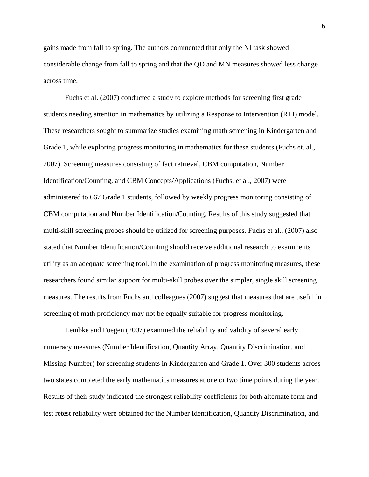gains made from fall to spring**.** The authors commented that only the NI task showed considerable change from fall to spring and that the QD and MN measures showed less change across time.

Fuchs et al. (2007) conducted a study to explore methods for screening first grade students needing attention in mathematics by utilizing a Response to Intervention (RTI) model. These researchers sought to summarize studies examining math screening in Kindergarten and Grade 1, while exploring progress monitoring in mathematics for these students (Fuchs et. al., 2007). Screening measures consisting of fact retrieval, CBM computation, Number Identification/Counting, and CBM Concepts/Applications (Fuchs, et al., 2007) were administered to 667 Grade 1 students, followed by weekly progress monitoring consisting of CBM computation and Number Identification/Counting. Results of this study suggested that multi-skill screening probes should be utilized for screening purposes. Fuchs et al., (2007) also stated that Number Identification/Counting should receive additional research to examine its utility as an adequate screening tool. In the examination of progress monitoring measures, these researchers found similar support for multi-skill probes over the simpler, single skill screening measures. The results from Fuchs and colleagues (2007) suggest that measures that are useful in screening of math proficiency may not be equally suitable for progress monitoring.

 Lembke and Foegen (2007) examined the reliability and validity of several early numeracy measures (Number Identification, Quantity Array, Quantity Discrimination, and Missing Number) for screening students in Kindergarten and Grade 1. Over 300 students across two states completed the early mathematics measures at one or two time points during the year. Results of their study indicated the strongest reliability coefficients for both alternate form and test retest reliability were obtained for the Number Identification, Quantity Discrimination, and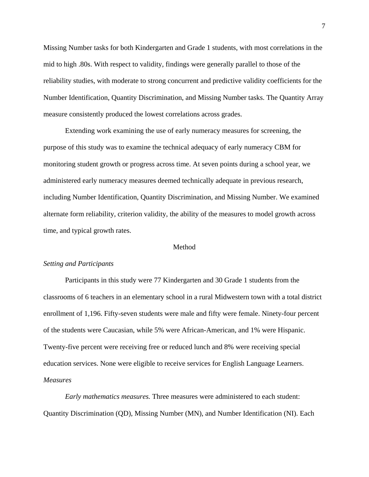Missing Number tasks for both Kindergarten and Grade 1 students, with most correlations in the mid to high .80s. With respect to validity, findings were generally parallel to those of the reliability studies, with moderate to strong concurrent and predictive validity coefficients for the Number Identification, Quantity Discrimination, and Missing Number tasks. The Quantity Array measure consistently produced the lowest correlations across grades.

Extending work examining the use of early numeracy measures for screening, the purpose of this study was to examine the technical adequacy of early numeracy CBM for monitoring student growth or progress across time. At seven points during a school year, we administered early numeracy measures deemed technically adequate in previous research, including Number Identification, Quantity Discrimination, and Missing Number. We examined alternate form reliability, criterion validity, the ability of the measures to model growth across time, and typical growth rates.

#### **Method**

#### *Setting and Participants*

 Participants in this study were 77 Kindergarten and 30 Grade 1 students from the classrooms of 6 teachers in an elementary school in a rural Midwestern town with a total district enrollment of 1,196. Fifty-seven students were male and fifty were female. Ninety-four percent of the students were Caucasian, while 5% were African-American, and 1% were Hispanic. Twenty-five percent were receiving free or reduced lunch and 8% were receiving special education services. None were eligible to receive services for English Language Learners. *Measures* 

*Early mathematics measures.* Three measures were administered to each student: Quantity Discrimination (QD), Missing Number (MN), and Number Identification (NI). Each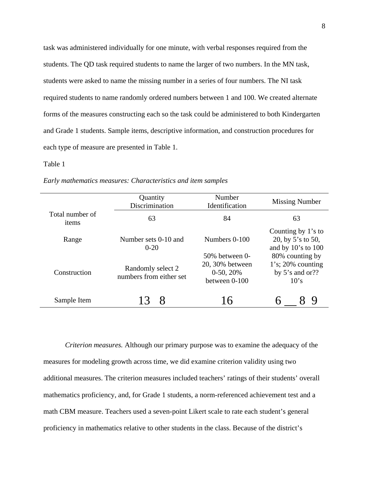task was administered individually for one minute, with verbal responses required from the students. The QD task required students to name the larger of two numbers. In the MN task, students were asked to name the missing number in a series of four numbers. The NI task required students to name randomly ordered numbers between 1 and 100. We created alternate forms of the measures constructing each so the task could be administered to both Kindergarten and Grade 1 students. Sample items, descriptive information, and construction procedures for each type of measure are presented in Table 1.

#### Table 1

| Early mathematics measures: Characteristics and item samples |  |  |
|--------------------------------------------------------------|--|--|
|--------------------------------------------------------------|--|--|

|                          | Quantity<br>Discrimination                   | Number<br>Identification                                               | <b>Missing Number</b>                                                 |
|--------------------------|----------------------------------------------|------------------------------------------------------------------------|-----------------------------------------------------------------------|
| Total number of<br>items | 63                                           | 84                                                                     | 63                                                                    |
| Range                    | Number sets 0-10 and<br>$0-20$               | Numbers 0-100                                                          | Counting by 1's to<br>20, by 5's to 50,<br>and by $10$ 's to $100$    |
| Construction             | Randomly select 2<br>numbers from either set | $50\%$ between 0-<br>20, 30% between<br>$0-50, 20%$<br>between $0-100$ | 80% counting by<br>$1's$ ; 20% counting<br>by $5$ 's and or??<br>10's |
| Sample Item              | Χ                                            | 16                                                                     |                                                                       |

*Criterion measures.* Although our primary purpose was to examine the adequacy of the measures for modeling growth across time, we did examine criterion validity using two additional measures. The criterion measures included teachers' ratings of their students' overall mathematics proficiency, and, for Grade 1 students, a norm-referenced achievement test and a math CBM measure. Teachers used a seven-point Likert scale to rate each student's general proficiency in mathematics relative to other students in the class. Because of the district's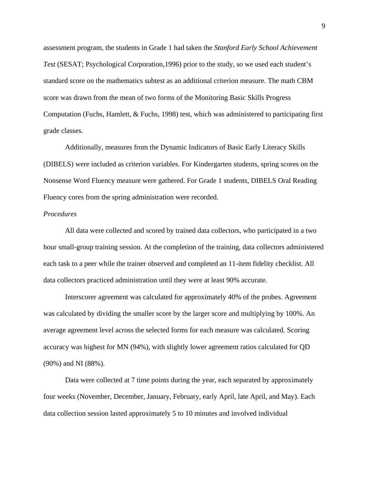assessment program, the students in Grade 1 had taken the *Stanford Early School Achievement Test* (SESAT; Psychological Corporation,1996) prior to the study, so we used each student's standard score on the mathematics subtest as an additional criterion measure. The math CBM score was drawn from the mean of two forms of the Monitoring Basic Skills Progress Computation (Fuchs, Hamlett, & Fuchs, 1998) test, which was administered to participating first grade classes.

Additionally, measures from the Dynamic Indicators of Basic Early Literacy Skills (DIBELS) were included as criterion variables. For Kindergarten students, spring scores on the Nonsense Word Fluency measure were gathered. For Grade 1 students, DIBELS Oral Reading Fluency cores from the spring administration were recorded.

#### *Procedures*

 All data were collected and scored by trained data collectors, who participated in a two hour small-group training session. At the completion of the training, data collectors administered each task to a peer while the trainer observed and completed an 11-item fidelity checklist. All data collectors practiced administration until they were at least 90% accurate.

Interscorer agreement was calculated for approximately 40% of the probes. Agreement was calculated by dividing the smaller score by the larger score and multiplying by 100%. An average agreement level across the selected forms for each measure was calculated. Scoring accuracy was highest for MN (94%), with slightly lower agreement ratios calculated for QD (90%) and NI (88%).

Data were collected at 7 time points during the year, each separated by approximately four weeks (November, December, January, February, early April, late April, and May). Each data collection session lasted approximately 5 to 10 minutes and involved individual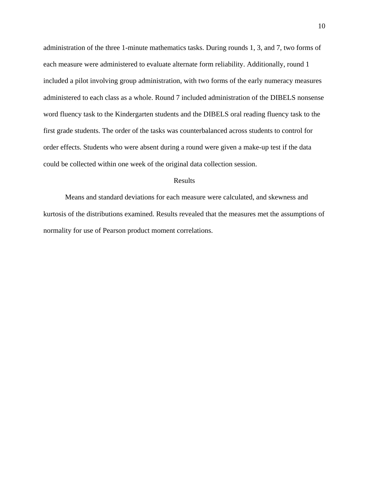administration of the three 1-minute mathematics tasks. During rounds 1, 3, and 7, two forms of each measure were administered to evaluate alternate form reliability. Additionally, round 1 included a pilot involving group administration, with two forms of the early numeracy measures administered to each class as a whole. Round 7 included administration of the DIBELS nonsense word fluency task to the Kindergarten students and the DIBELS oral reading fluency task to the first grade students. The order of the tasks was counterbalanced across students to control for order effects. Students who were absent during a round were given a make-up test if the data could be collected within one week of the original data collection session.

#### Results

Means and standard deviations for each measure were calculated, and skewness and kurtosis of the distributions examined. Results revealed that the measures met the assumptions of normality for use of Pearson product moment correlations.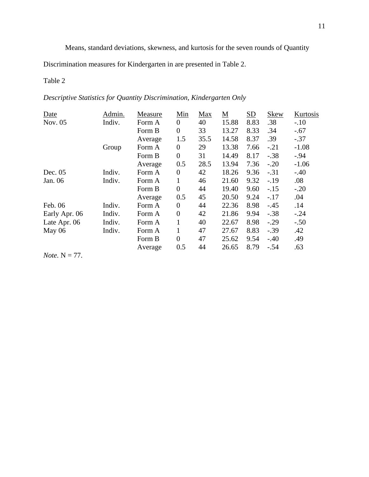Means, standard deviations, skewness, and kurtosis for the seven rounds of Quantity

Discrimination measures for Kindergarten in are presented in Table 2.

## Table 2

*Descriptive Statistics for Quantity Discrimination, Kindergarten Only* 

| Date                     | Admin. | Measure | Min              | Max  | <u>М</u> | $\underline{\mathrm{SD}}$ | <b>Skew</b> | Kurtosis |
|--------------------------|--------|---------|------------------|------|----------|---------------------------|-------------|----------|
| Nov. 05                  | Indiv. | Form A  | $\theta$         | 40   | 15.88    | 8.83                      | .38         | $-.10$   |
|                          |        | Form B  | $\overline{0}$   | 33   | 13.27    | 8.33                      | .34         | $-.67$   |
|                          |        | Average | 1.5              | 35.5 | 14.58    | 8.37                      | .39         | $-.37$   |
|                          | Group  | Form A  | $\boldsymbol{0}$ | 29   | 13.38    | 7.66                      | $-.21$      | $-1.08$  |
|                          |        | Form B  | $\boldsymbol{0}$ | 31   | 14.49    | 8.17                      | $-.38$      | $-.94$   |
|                          |        | Average | 0.5              | 28.5 | 13.94    | 7.36                      | $-.20$      | $-1.06$  |
| Dec. 05                  | Indiv. | Form A  | $\boldsymbol{0}$ | 42   | 18.26    | 9.36                      | $-.31$      | $-.40$   |
| Jan. 06                  | Indiv. | Form A  | 1                | 46   | 21.60    | 9.32                      | $-.19$      | .08      |
|                          |        | Form B  | $\overline{0}$   | 44   | 19.40    | 9.60                      | $-.15$      | $-.20$   |
|                          |        | Average | 0.5              | 45   | 20.50    | 9.24                      | $-.17$      | .04      |
| Feb. 06                  | Indiv. | Form A  | $\theta$         | 44   | 22.36    | 8.98                      | $-.45$      | .14      |
| Early Apr. 06            | Indiv. | Form A  | $\boldsymbol{0}$ | 42   | 21.86    | 9.94                      | $-.38$      | $-.24$   |
| Late Apr. 06             | Indiv. | Form A  | $\mathbf{1}$     | 40   | 22.67    | 8.98                      | $-.29$      | $-.50$   |
| May 06                   | Indiv. | Form A  | $\mathbf{1}$     | 47   | 27.67    | 8.83                      | $-.39$      | .42      |
|                          |        | Form B  | $\overline{0}$   | 47   | 25.62    | 9.54                      | $-.40$      | .49      |
|                          |        | Average | 0.5              | 44   | 26.65    | 8.79                      | $-.54$      | .63      |
| <i>Note</i> . $N = 77$ . |        |         |                  |      |          |                           |             |          |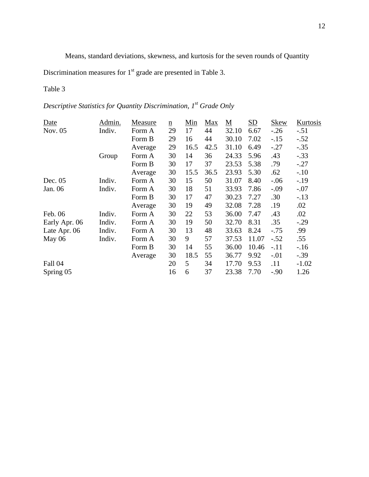Means, standard deviations, skewness, and kurtosis for the seven rounds of Quantity

Discrimination measures for  $1<sup>st</sup>$  grade are presented in Table 3.

## Table 3

*Descriptive Statistics for Quantity Discrimination, 1<sup>st</sup> Grade Only* 

| Date          | Admin. | Measure | $\underline{n}$ | Min  | Max  | $\underline{\mathbf{M}}$ | $\underline{\mathrm{SD}}$ | <b>Skew</b> | Kurtosis |
|---------------|--------|---------|-----------------|------|------|--------------------------|---------------------------|-------------|----------|
| Nov. 05       | Indiv. | Form A  | 29              | 17   | 44   | 32.10                    | 6.67                      | $-.26$      | $-.51$   |
|               |        | Form B  | 29              | 16   | 44   | 30.10                    | 7.02                      | $-.15$      | $-.52$   |
|               |        | Average | 29              | 16.5 | 42.5 | 31.10                    | 6.49                      | $-.27$      | $-.35$   |
|               | Group  | Form A  | 30              | 14   | 36   | 24.33                    | 5.96                      | .43         | $-.33$   |
|               |        | Form B  | 30              | 17   | 37   | 23.53                    | 5.38                      | .79         | $-.27$   |
|               |        | Average | 30              | 15.5 | 36.5 | 23.93                    | 5.30                      | .62         | $-.10$   |
| Dec. 05       | Indiv. | Form A  | 30              | 15   | 50   | 31.07                    | 8.40                      | $-.06$      | $-.19$   |
| Jan. 06       | Indiv. | Form A  | 30              | 18   | 51   | 33.93                    | 7.86                      | $-.09$      | $-.07$   |
|               |        | Form B  | 30              | 17   | 47   | 30.23                    | 7.27                      | .30         | $-.13$   |
|               |        | Average | 30              | 19   | 49   | 32.08                    | 7.28                      | .19         | .02      |
| Feb. 06       | Indiv. | Form A  | 30              | 22   | 53   | 36.00                    | 7.47                      | .43         | .02      |
| Early Apr. 06 | Indiv. | Form A  | 30              | 19   | 50   | 32.70                    | 8.31                      | .35         | $-.29$   |
| Late Apr. 06  | Indiv. | Form A  | 30              | 13   | 48   | 33.63                    | 8.24                      | $-.75$      | .99      |
| May $06$      | Indiv. | Form A  | 30              | 9    | 57   | 37.53                    | 11.07                     | $-.52$      | .55      |
|               |        | Form B  | 30              | 14   | 55   | 36.00                    | 10.46                     | $-.11$      | $-.16$   |
|               |        | Average | 30              | 18.5 | 55   | 36.77                    | 9.92                      | $-.01$      | $-.39$   |
| Fall 04       |        |         | 20              | 5    | 34   | 17.70                    | 9.53                      | .11         | $-1.02$  |
| Spring 05     |        |         | 16              | 6    | 37   | 23.38                    | 7.70                      | $-.90$      | 1.26     |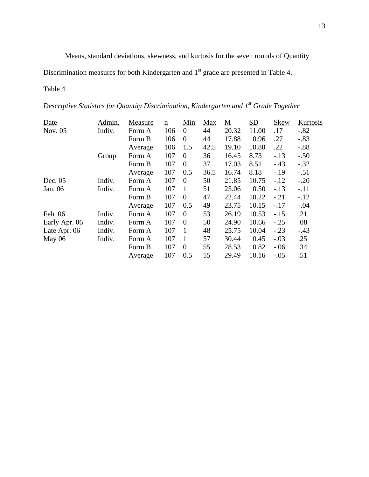Means, standard deviations, skewness, and kurtosis for the seven rounds of Quantity

Discrimination measures for both Kindergarten and 1<sup>st</sup> grade are presented in Table 4.

## Table 4

*Descriptive Statistics for Quantity Discrimination, Kindergarten and 1st Grade Together* 

| Date          | Admin. | Measure | $\underline{n}$ | Min            | Max  | $\underline{\mathbf{M}}$ | $\underline{\mathrm{SD}}$ | <b>Skew</b> | Kurtosis |
|---------------|--------|---------|-----------------|----------------|------|--------------------------|---------------------------|-------------|----------|
| Nov. 05       | Indiv. | Form A  | 106             | $\overline{0}$ | 44   | 20.32                    | 11.00                     | .17         | $-.82$   |
|               |        | Form B  | 106             | $\mathbf{0}$   | 44   | 17.88                    | 10.96                     | .27         | $-.83$   |
|               |        | Average | 106             | 1.5            | 42.5 | 19.10                    | 10.80                     | .22         | $-.88$   |
|               | Group  | Form A  | 107             | $\theta$       | 36   | 16.45                    | 8.73                      | $-.13$      | $-.50$   |
|               |        | Form B  | 107             | $\theta$       | 37   | 17.03                    | 8.51                      | $-.43$      | $-.32$   |
|               |        | Average | 107             | 0.5            | 36.5 | 16.74                    | 8.18                      | $-.19$      | $-.51$   |
| Dec. $05$     | Indiv. | Form A  | 107             | $\theta$       | 50   | 21.85                    | 10.75                     | $-12$       | $-.20$   |
| Jan. 06       | Indiv. | Form A  | 107             | -1             | 51   | 25.06                    | 10.50                     | $-.13$      | $-.11$   |
|               |        | Form B  | 107             | $\theta$       | 47   | 22.44                    | 10.22                     | $-.21$      | $-12$    |
|               |        | Average | 107             | 0.5            | 49   | 23.75                    | 10.15                     | $-.17$      | $-.04$   |
| Feb. 06       | Indiv. | Form A  | 107             | $\overline{0}$ | 53   | 26.19                    | 10.53                     | $-.15$      | .21      |
| Early Apr. 06 | Indiv. | Form A  | 107             | $\theta$       | 50   | 24.90                    | 10.66                     | $-.25$      | .08      |
| Late Apr. 06  | Indiv. | Form A  | 107             | 1              | 48   | 25.75                    | 10.04                     | $-.23$      | $-.43$   |
| May 06        | Indiv. | Form A  | 107             | -1             | 57   | 30.44                    | 10.45                     | $-.03$      | .25      |
|               |        | Form B  | 107             | $\theta$       | 55   | 28.53                    | 10.82                     | $-.06$      | .34      |
|               |        | Average | 107             | 0.5            | 55   | 29.49                    | 10.16                     | $-.05$      | .51      |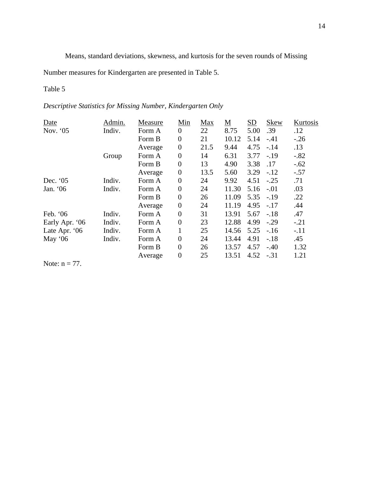Means, standard deviations, skewness, and kurtosis for the seven rounds of Missing

Number measures for Kindergarten are presented in Table 5.

## Table 5

## *Descriptive Statistics for Missing Number, Kindergarten Only*

| Date             | Admin. | Measure | Min              | Max  | <u>M</u> | SD   | <b>Skew</b> | Kurtosis |
|------------------|--------|---------|------------------|------|----------|------|-------------|----------|
| Nov. '05         | Indiv. | Form A  | $\overline{0}$   | 22   | 8.75     | 5.00 | .39         | .12      |
|                  |        | Form B  | $\boldsymbol{0}$ | 21   | 10.12    | 5.14 | $-41$       | $-.26$   |
|                  |        | Average | $\overline{0}$   | 21.5 | 9.44     | 4.75 | $-.14$      | .13      |
|                  | Group  | Form A  | $\overline{0}$   | 14   | 6.31     | 3.77 | $-.19$      | $-.82$   |
|                  |        | Form B  | $\boldsymbol{0}$ | 13   | 4.90     | 3.38 | .17         | $-.62$   |
|                  |        | Average | $\boldsymbol{0}$ | 13.5 | 5.60     | 3.29 | $-.12$      | $-.57$   |
| Dec. '05         | Indiv. | Form A  | $\boldsymbol{0}$ | 24   | 9.92     | 4.51 | $-.25$      | .71      |
| Jan. '06         | Indiv. | Form A  | $\boldsymbol{0}$ | 24   | 11.30    | 5.16 | $-.01$      | .03      |
|                  |        | Form B  | $\overline{0}$   | 26   | 11.09    | 5.35 | $-.19$      | .22      |
|                  |        | Average | $\overline{0}$   | 24   | 11.19    | 4.95 | $-.17$      | .44      |
| Feb. '06         | Indiv. | Form A  | $\overline{0}$   | 31   | 13.91    | 5.67 | $-.18$      | .47      |
| Early Apr. '06   | Indiv. | Form A  | $\overline{0}$   | 23   | 12.88    | 4.99 | $-.29$      | $-.21$   |
| Late Apr. '06    | Indiv. | Form A  | 1                | 25   | 14.56    | 5.25 | $-.16$      | $-.11$   |
| May '06          | Indiv. | Form A  | $\overline{0}$   | 24   | 13.44    | 4.91 | $-.18$      | .45      |
|                  |        | Form B  | $\overline{0}$   | 26   | 13.57    | 4.57 | $-.40$      | 1.32     |
|                  |        | Average | $\boldsymbol{0}$ | 25   | 13.51    | 4.52 | $-.31$      | 1.21     |
| Note: $n = 77$ . |        |         |                  |      |          |      |             |          |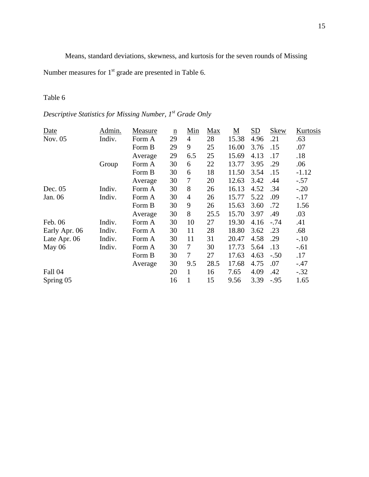Means, standard deviations, skewness, and kurtosis for the seven rounds of Missing

Number measures for 1<sup>st</sup> grade are presented in Table 6.

## Table 6

*Descriptive Statistics for Missing Number, 1st Grade Only* 

| Date          | Admin. | Measure | $\underline{n}$ | Min            | Max  | $\underline{\mathbf{M}}$ | SD   | Skew   | Kurtosis |
|---------------|--------|---------|-----------------|----------------|------|--------------------------|------|--------|----------|
| Nov. 05       | Indiv. | Form A  | 29              | 4              | 28   | 15.38                    | 4.96 | .21    | .63      |
|               |        | Form B  | 29              | 9              | 25   | 16.00                    | 3.76 | .15    | .07      |
|               |        | Average | 29              | 6.5            | 25   | 15.69                    | 4.13 | .17    | .18      |
|               | Group  | Form A  | 30              | 6              | 22   | 13.77                    | 3.95 | .29    | .06      |
|               |        | Form B  | 30              | 6              | 18   | 11.50                    | 3.54 | .15    | $-1.12$  |
|               |        | Average | 30              | 7              | 20   | 12.63                    | 3.42 | .44    | $-.57$   |
| Dec. $05$     | Indiv. | Form A  | 30              | 8              | 26   | 16.13                    | 4.52 | .34    | $-.20$   |
| Jan. 06       | Indiv. | Form A  | 30              | $\overline{4}$ | 26   | 15.77                    | 5.22 | .09    | $-.17$   |
|               |        | Form B  | 30              | 9              | 26   | 15.63                    | 3.60 | .72    | 1.56     |
|               |        | Average | 30              | 8              | 25.5 | 15.70                    | 3.97 | .49    | .03      |
| Feb. 06       | Indiv. | Form A  | 30              | 10             | 27   | 19.30                    | 4.16 | $-.74$ | .41      |
| Early Apr. 06 | Indiv. | Form A  | 30              | 11             | 28   | 18.80                    | 3.62 | .23    | .68      |
| Late Apr. 06  | Indiv. | Form A  | 30              | 11             | 31   | 20.47                    | 4.58 | .29    | $-.10$   |
| May 06        | Indiv. | Form A  | 30              | 7              | 30   | 17.73                    | 5.64 | .13    | $-.61$   |
|               |        | Form B  | 30              | 7              | 27   | 17.63                    | 4.63 | $-.50$ | .17      |
|               |        | Average | 30              | 9.5            | 28.5 | 17.68                    | 4.75 | .07    | $-.47$   |
| Fall 04       |        |         | 20              | 1              | 16   | 7.65                     | 4.09 | .42    | $-.32$   |
| Spring 05     |        |         | 16              | 1              | 15   | 9.56                     | 3.39 | $-.95$ | 1.65     |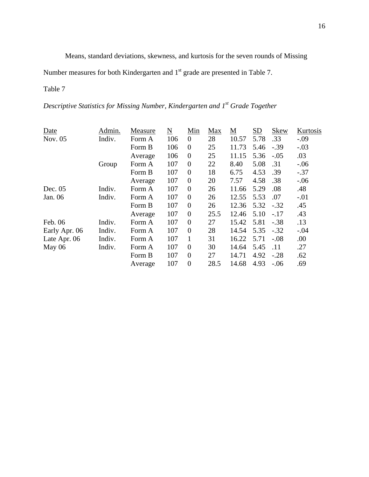Means, standard deviations, skewness, and kurtosis for the seven rounds of Missing

Number measures for both Kindergarten and 1<sup>st</sup> grade are presented in Table 7.

## Table 7

*Descriptive Statistics for Missing Number, Kindergarten and 1st Grade Together* 

| Date          | Admin. | Measure | $\underline{\rm N}$ | Min            | Max  | <u>М</u> | SD   | <b>Skew</b> | Kurtosis |
|---------------|--------|---------|---------------------|----------------|------|----------|------|-------------|----------|
| Nov. 05       | Indiv. | Form A  | 106                 | $\theta$       | 28   | 10.57    | 5.78 | .33         | $-.09$   |
|               |        | Form B  | 106                 | $\theta$       | 25   | 11.73    | 5.46 | $-.39$      | $-.03$   |
|               |        | Average | 106                 | $\theta$       | 25   | 11.15    | 5.36 | $-.05$      | .03      |
|               | Group  | Form A  | 107                 | $\theta$       | 22   | 8.40     | 5.08 | .31         | $-.06$   |
|               |        | Form B  | 107                 | $\theta$       | 18   | 6.75     | 4.53 | .39         | $-.37$   |
|               |        | Average | 107                 | $\theta$       | 20   | 7.57     | 4.58 | .38         | $-.06$   |
| Dec. $05$     | Indiv. | Form A  | 107                 | $\theta$       | 26   | 11.66    | 5.29 | .08         | .48      |
| Jan. 06       | Indiv. | Form A  | 107                 | $\theta$       | 26   | 12.55    | 5.53 | .07         | $-.01$   |
|               |        | Form B  | 107                 | $\theta$       | 26   | 12.36    | 5.32 | $-.32$      | .45      |
|               |        | Average | 107                 | $\theta$       | 25.5 | 12.46    | 5.10 | $-.17$      | .43      |
| Feb. 06       | Indiv. | Form A  | 107                 | $\theta$       | 27   | 15.42    | 5.81 | $-.38$      | .13      |
| Early Apr. 06 | Indiv. | Form A  | 107                 | $\theta$       | 28   | 14.54    | 5.35 | $-.32$      | $-.04$   |
| Late Apr. 06  | Indiv. | Form A  | 107                 | 1              | 31   | 16.22    | 5.71 | $-.08$      | .00      |
| May $06$      | Indiv. | Form A  | 107                 | $\theta$       | 30   | 14.64    | 5.45 | .11         | .27      |
|               |        | Form B  | 107                 | $\theta$       | 27   | 14.71    | 4.92 | $-.28$      | .62      |
|               |        | Average | 107                 | $\overline{0}$ | 28.5 | 14.68    | 4.93 | $-.06$      | .69      |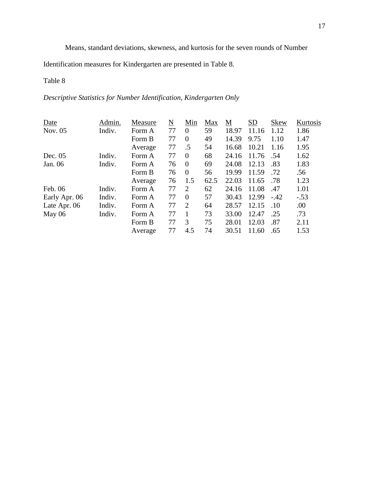Means, standard deviations, skewness, and kurtosis for the seven rounds of Number

Identification measures for Kindergarten are presented in Table 8.

## Table 8

*Descriptive Statistics for Number Identification, Kindergarten Only* 

| Date          | Admin. | Measure | $\underline{\rm N}$ | Min                         | Max  | <u>M</u> | SD    | <b>Skew</b> | Kurtosis |
|---------------|--------|---------|---------------------|-----------------------------|------|----------|-------|-------------|----------|
| Nov. 05       | Indiv. | Form A  | 77                  | $\overline{0}$              | 59   | 18.97    | 11.16 | 1.12        | 1.86     |
|               |        | Form B  | 77                  | $\theta$                    | 49   | 14.39    | 9.75  | 1.10        | 1.47     |
|               |        | Average | 77                  | .5                          | 54   | 16.68    | 10.21 | 1.16        | 1.95     |
| Dec. $05$     | Indiv. | Form A  | 77                  | $\theta$                    | 68   | 24.16    | 11.76 | .54         | 1.62     |
| Jan. 06       | Indiv. | Form A  | 76                  | $\theta$                    | 69   | 24.08    | 12.13 | .83         | 1.83     |
|               |        | Form B  | 76                  | $\theta$                    | 56   | 19.99    | 11.59 | .72         | .56      |
|               |        | Average | 76                  | 1.5                         | 62.5 | 22.03    | 11.65 | .78         | 1.23     |
| Feb. 06       | Indiv. | Form A  | 77                  | 2                           | 62   | 24.16    | 11.08 | .47         | 1.01     |
| Early Apr. 06 | Indiv. | Form A  | 77                  | $\theta$                    | 57   | 30.43    | 12.99 | $-.42$      | $-.53$   |
| Late Apr. 06  | Indiv. | Form A  | 77                  | $\mathcal{D}_{\mathcal{L}}$ | 64   | 28.57    | 12.15 | .10         | .00      |
| May $06$      | Indiv. | Form A  | 77                  |                             | 73   | 33.00    | 12.47 | .25         | .73      |
|               |        | Form B  | 77                  | 3                           | 75   | 28.01    | 12.03 | .87         | 2.11     |
|               |        | Average | 77                  | 4.5                         | 74   | 30.51    | 11.60 | .65         | 1.53     |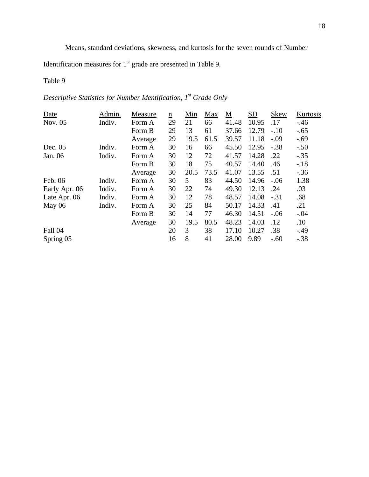Means, standard deviations, skewness, and kurtosis for the seven rounds of Number

Identification measures for  $1<sup>st</sup>$  grade are presented in Table 9.

## Table 9

*Descriptive Statistics for Number Identification, 1st Grade Only* 

| Date          | Admin. | Measure | $\underline{n}$ | Min  | Max  | $\underline{\mathbf{M}}$ | SD    | <b>Skew</b> | Kurtosis |
|---------------|--------|---------|-----------------|------|------|--------------------------|-------|-------------|----------|
| Nov. 05       | Indiv. | Form A  | 29              | 21   | 66   | 41.48                    | 10.95 | .17         | $-46$    |
|               |        | Form B  | 29              | 13   | 61   | 37.66                    | 12.79 | $-.10$      | $-.65$   |
|               |        | Average | 29              | 19.5 | 61.5 | 39.57                    | 11.18 | $-.09$      | $-.69$   |
| Dec. 05       | Indiv. | Form A  | 30              | 16   | 66   | 45.50                    | 12.95 | $-.38$      | $-.50$   |
| Jan. 06       | Indiv. | Form A  | 30              | 12   | 72   | 41.57                    | 14.28 | .22         | $-.35$   |
|               |        | Form B  | 30              | 18   | 75   | 40.57                    | 14.40 | .46         | $-18$    |
|               |        | Average | 30              | 20.5 | 73.5 | 41.07                    | 13.55 | .51         | $-.36$   |
| Feb. 06       | Indiv. | Form A  | 30              | 5    | 83   | 44.50                    | 14.96 | $-.06$      | 1.38     |
| Early Apr. 06 | Indiv. | Form A  | 30              | 22   | 74   | 49.30                    | 12.13 | .24         | .03      |
| Late Apr. 06  | Indiv. | Form A  | 30              | 12   | 78   | 48.57                    | 14.08 | $-.31$      | .68      |
| May $06$      | Indiv. | Form A  | 30              | 25   | 84   | 50.17                    | 14.33 | .41         | .21      |
|               |        | Form B  | 30              | 14   | 77   | 46.30                    | 14.51 | $-.06$      | $-.04$   |
|               |        | Average | 30              | 19.5 | 80.5 | 48.23                    | 14.03 | .12         | .10      |
| Fall 04       |        |         | 20              | 3    | 38   | 17.10                    | 10.27 | .38         | $-49$    |
| Spring 05     |        |         | 16              | 8    | 41   | 28.00                    | 9.89  | $-.60$      | $-.38$   |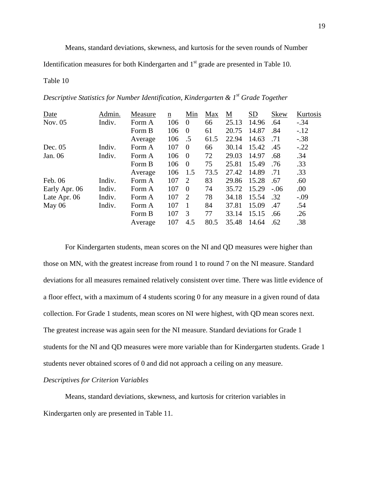Means, standard deviations, skewness, and kurtosis for the seven rounds of Number

Identification measures for both Kindergarten and  $1<sup>st</sup>$  grade are presented in Table 10.

#### Table 10

|  | Descriptive Statistics for Number Identification, Kindergarten & 1 <sup>st</sup> Grade Together |  |  |
|--|-------------------------------------------------------------------------------------------------|--|--|
|  |                                                                                                 |  |  |

| Date          | Admin. | Measure | n   | Min            | Max  | M     | SD    | <b>Skew</b> | Kurtosis |
|---------------|--------|---------|-----|----------------|------|-------|-------|-------------|----------|
| Nov. 05       | Indiv. | Form A  | 106 | $\overline{0}$ | 66   | 25.13 | 14.96 | .64         | $-.34$   |
|               |        | Form B  | 106 | $\theta$       | 61   | 20.75 | 14.87 | .84         | $-.12$   |
|               |        | Average | 106 | .5             | 61.5 | 22.94 | 14.63 | .71         | $-.38$   |
| Dec. $05$     | Indiv. | Form A  | 107 | $\theta$       | 66   | 30.14 | 15.42 | .45         | $-.22$   |
| Jan. 06       | Indiv. | Form A  | 106 | $\overline{0}$ | 72   | 29.03 | 14.97 | .68         | .34      |
|               |        | Form B  | 106 | $\overline{0}$ | 75   | 25.81 | 15.49 | .76         | .33      |
|               |        | Average | 106 | 1.5            | 73.5 | 27.42 | 14.89 | .71         | .33      |
| Feb. 06       | Indiv. | Form A  | 107 | 2              | 83   | 29.86 | 15.28 | .67         | .60      |
| Early Apr. 06 | Indiv. | Form A  | 107 | $\theta$       | 74   | 35.72 | 15.29 | $-.06$      | .00.     |
| Late Apr. 06  | Indiv. | Form A  | 107 | 2              | 78   | 34.18 | 15.54 | .32         | $-.09$   |
| May $06$      | Indiv. | Form A  | 107 | $\overline{1}$ | 84   | 37.81 | 15.09 | .47         | .54      |
|               |        | Form B  | 107 | 3              | 77   | 33.14 | 15.15 | .66         | .26      |
|               |        | Average | 107 | 4.5            | 80.5 | 35.48 | 14.64 | .62         | .38      |

 For Kindergarten students, mean scores on the NI and QD measures were higher than those on MN, with the greatest increase from round 1 to round 7 on the NI measure. Standard deviations for all measures remained relatively consistent over time. There was little evidence of a floor effect, with a maximum of 4 students scoring 0 for any measure in a given round of data collection. For Grade 1 students, mean scores on NI were highest, with QD mean scores next. The greatest increase was again seen for the NI measure. Standard deviations for Grade 1 students for the NI and QD measures were more variable than for Kindergarten students. Grade 1 students never obtained scores of 0 and did not approach a ceiling on any measure.

#### *Descriptives for Criterion Variables*

Means, standard deviations, skewness, and kurtosis for criterion variables in Kindergarten only are presented in Table 11.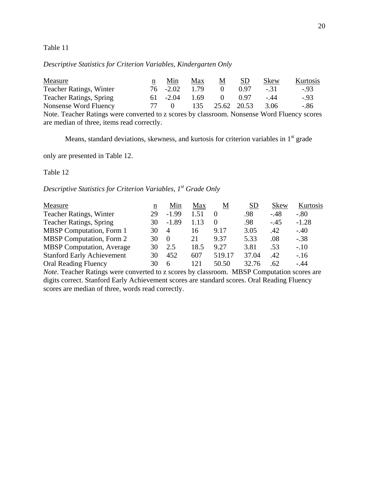#### Table 11

*Descriptive Statistics for Criterion Variables, Kindergarten Only* 

| Measure                                                                                     | n   | Min      | Max  | $\underline{\mathbf{M}}$ | SD   | Skew   | Kurtosis |
|---------------------------------------------------------------------------------------------|-----|----------|------|--------------------------|------|--------|----------|
| <b>Teacher Ratings, Winter</b>                                                              | 76. | $-2.02$  | 1.79 | $\Omega$                 | 0.97 | $-.31$ | $-93$    |
| <b>Teacher Ratings, Spring</b>                                                              | 61  | $-2.04$  | 1.69 |                          | 0.97 | $-44$  | $-93$    |
| Nonsense Word Fluency                                                                       | -77 | $\Omega$ | 135  | 25.62 20.53              |      | 3.06   | $-.86$   |
| Note. Teacher Ratings were converted to z scores by classroom. Nonsense Word Fluency scores |     |          |      |                          |      |        |          |
| are median of three, items read correctly.                                                  |     |          |      |                          |      |        |          |

Means, standard deviations, skewness, and kurtosis for criterion variables in  $1<sup>st</sup>$  grade

only are presented in Table 12.

Table 12

*Descriptive Statistics for Criterion Variables, 1<sup>st</sup> Grade Only* 

| Measure                           | n  | Min              | Max  | Μ        | <b>SD</b> | <b>Skew</b> | Kurtosis |
|-----------------------------------|----|------------------|------|----------|-----------|-------------|----------|
| <b>Teacher Ratings, Winter</b>    | 29 | $-1.99$          | 1.51 |          | .98       | $-.48$      | $-.80$   |
| <b>Teacher Ratings, Spring</b>    | 30 | $-1.89$          | 1.13 | $\theta$ | .98       | $-.45$      | $-1.28$  |
| <b>MBSP</b> Computation, Form 1   | 30 | $\overline{A}$   | 16   | 9.17     | 3.05      | .42         | $-.40$   |
| <b>MBSP</b> Computation, Form 2   | 30 | $\left( \right)$ | 21   | 9.37     | 5.33      | .08         | $-.38$   |
| <b>MBSP</b> Computation, Average  | 30 | 2.5              | 18.5 | 9.27     | 3.81      | .53         | $-.10$   |
| <b>Stanford Early Achievement</b> | 30 | 452              | 607  | 519.17   | 37.04     | .42         | $-.16$   |
| <b>Oral Reading Fluency</b>       | 30 | 6                | 121  | 50.50    | 32.76     | .62         | $-.44$   |

*Note*. Teacher Ratings were converted to z scores by classroom. MBSP Computation scores are digits correct. Stanford Early Achievement scores are standard scores. Oral Reading Fluency scores are median of three, words read correctly.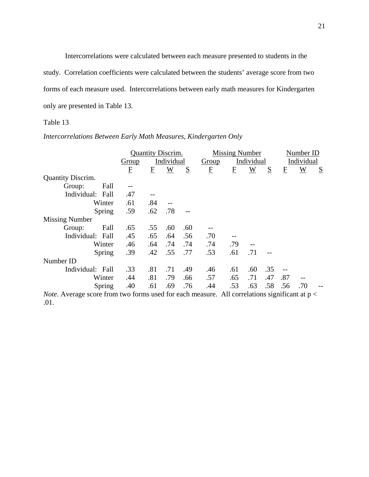Intercorrelations were calculated between each measure presented to students in the study. Correlation coefficients were calculated between the students' average score from two forms of each measure used. Intercorrelations between early math measures for Kindergarten only are presented in Table 13.

## Table 13

## *Intercorrelations Between Early Math Measures, Kindergarten Only*

|                                                                                                        |                |                         | <b>Quantity Discrim.</b> |     |                     | <b>Missing Number</b> |                |            | Number ID                  |     |   |
|--------------------------------------------------------------------------------------------------------|----------------|-------------------------|--------------------------|-----|---------------------|-----------------------|----------------|------------|----------------------------|-----|---|
|                                                                                                        | Group          | Individual              |                          |     | Individual<br>Group |                       |                | Individual |                            |     |   |
|                                                                                                        | $\overline{E}$ | $\overline{\mathrm{E}}$ | W                        | S   | $\overline{E}$      | $\overline{E}$        | $\overline{W}$ | S          | ${\underline{\mathbf{F}}}$ | W   | S |
| <b>Quantity Discrim.</b>                                                                               |                |                         |                          |     |                     |                       |                |            |                            |     |   |
| Fall<br>Group:                                                                                         |                |                         |                          |     |                     |                       |                |            |                            |     |   |
| Individual: Fall                                                                                       | .47            |                         |                          |     |                     |                       |                |            |                            |     |   |
| Winter                                                                                                 | .61            | .84                     |                          |     |                     |                       |                |            |                            |     |   |
| Spring                                                                                                 | .59            | .62                     | .78                      |     |                     |                       |                |            |                            |     |   |
| <b>Missing Number</b>                                                                                  |                |                         |                          |     |                     |                       |                |            |                            |     |   |
| Fall<br>Group:                                                                                         | .65            | .55                     | .60                      | .60 |                     |                       |                |            |                            |     |   |
| Individual: Fall                                                                                       | .45            | .65                     | .64                      | .56 | .70                 |                       |                |            |                            |     |   |
| Winter                                                                                                 | .46            | .64                     | .74                      | .74 | .74                 | .79                   |                |            |                            |     |   |
| Spring                                                                                                 | .39            | .42                     | .55                      | .77 | .53                 | .61                   | .71            |            |                            |     |   |
| Number ID                                                                                              |                |                         |                          |     |                     |                       |                |            |                            |     |   |
| Individual: Fall                                                                                       | .33            | .81                     | .71                      | .49 | .46                 | .61                   | .60            | .35        |                            |     |   |
| Winter                                                                                                 | .44            | .81                     | .79                      | .66 | .57                 | .65                   | .71            | .47        | .87                        |     |   |
| Spring                                                                                                 | .40            | .61                     | .69                      | .76 | .44                 | .53                   | .63            | .58        | .56                        | .70 |   |
| <i>Note.</i> Average score from two forms used for each measure. All correlations significant at $p <$ |                |                         |                          |     |                     |                       |                |            |                            |     |   |

*Note*. Average score from two forms used for each measure. All correlations significant at  $p <$ .01.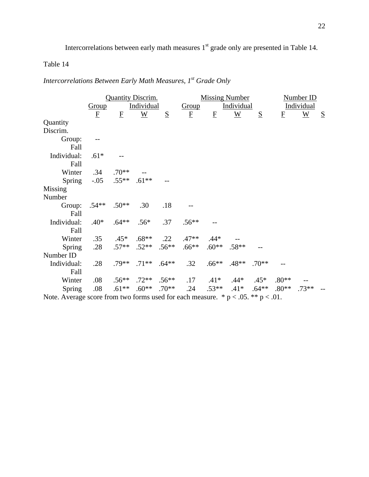Intercorrelations between early math measures 1<sup>st</sup> grade only are presented in Table 14.

## Table 14

*Intercorrelations Between Early Math Measures, 1st Grade Only* 

|                                                                                        |                         | <b>Quantity Discrim.</b> |                            |     |                         | <b>Missing Number</b> |                 |          |                         | Number ID       |   |
|----------------------------------------------------------------------------------------|-------------------------|--------------------------|----------------------------|-----|-------------------------|-----------------------|-----------------|----------|-------------------------|-----------------|---|
|                                                                                        | <b>Group</b>            |                          | <b>Individual</b>          |     | Group                   |                       | Individual      |          |                         | Individual      |   |
|                                                                                        | $\overline{\mathrm{E}}$ | $\mathbf{F}$             | $\underline{W}$            | S   | $\overline{\mathrm{E}}$ | $\mathbf{F}$          | $\underline{W}$ | S        | $\overline{\mathrm{E}}$ | $\underline{W}$ | S |
| Quantity                                                                               |                         |                          |                            |     |                         |                       |                 |          |                         |                 |   |
| Discrim.                                                                               |                         |                          |                            |     |                         |                       |                 |          |                         |                 |   |
| Group:                                                                                 |                         |                          |                            |     |                         |                       |                 |          |                         |                 |   |
| Fall                                                                                   |                         |                          |                            |     |                         |                       |                 |          |                         |                 |   |
| Individual:                                                                            | $.61*$                  |                          |                            |     |                         |                       |                 |          |                         |                 |   |
| Fall                                                                                   |                         |                          |                            |     |                         |                       |                 |          |                         |                 |   |
| Winter                                                                                 | .34                     | $.70**$                  |                            |     |                         |                       |                 |          |                         |                 |   |
| Spring                                                                                 | $-.05$                  | $.55***$ .61**           |                            |     |                         |                       |                 |          |                         |                 |   |
| Missing                                                                                |                         |                          |                            |     |                         |                       |                 |          |                         |                 |   |
| Number                                                                                 |                         |                          |                            |     |                         |                       |                 |          |                         |                 |   |
| Group:                                                                                 | $.54**$ .50**           |                          | .30                        | .18 |                         |                       |                 |          |                         |                 |   |
| Fall                                                                                   |                         |                          |                            |     |                         |                       |                 |          |                         |                 |   |
| Individual:                                                                            | $.40*$                  | $.64**$                  | $.56*$                     | .37 | $.56**$                 |                       |                 |          |                         |                 |   |
| Fall                                                                                   |                         |                          |                            |     |                         |                       |                 |          |                         |                 |   |
| Winter                                                                                 | .35                     | $.45*$                   | $.68**$                    | .22 | $.47**$                 | $.44*$                |                 |          |                         |                 |   |
| Spring                                                                                 | .28                     |                          | $.57***$ $.52***$ $.56***$ |     | $.66**$                 | $.60**$               | $.58**$         |          |                         |                 |   |
| Number ID                                                                              |                         |                          |                            |     |                         |                       |                 |          |                         |                 |   |
| Individual:                                                                            | .28                     |                          | $.79***$ .71** .64**       |     | .32                     | $.66***$              | $.48**$         | $.70**$  |                         |                 |   |
| Fall                                                                                   |                         |                          |                            |     |                         |                       |                 |          |                         |                 |   |
| Winter                                                                                 | .08                     |                          | $.56***$ .72** .56**       |     | .17                     | $.41*$ $.44*$ $.45*$  |                 |          | $.80**$                 |                 |   |
| Spring                                                                                 | .08                     | $.61**$                  | $.60**$ .70**              |     | .24                     | $.53**$ $.41*$        |                 | $.64***$ | $.80**$                 | $.73**$         |   |
| Note. Average score from two forms used for each measure. * $p < .05$ . ** $p < .01$ . |                         |                          |                            |     |                         |                       |                 |          |                         |                 |   |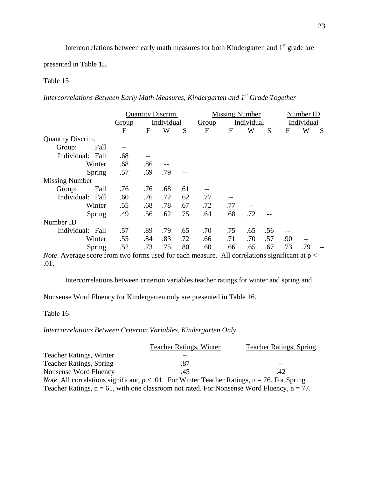Intercorrelations between early math measures for both Kindergarten and 1<sup>st</sup> grade are

presented in Table 15.

## Table 15

*Intercorrelations Between Early Math Measures, Kindergarten and 1st Grade Together* 

|                          |       | <b>Quantity Discrim.</b> |                 |     | <b>Missing Number</b> |                |                 |            |              | Number ID       |   |  |
|--------------------------|-------|--------------------------|-----------------|-----|-----------------------|----------------|-----------------|------------|--------------|-----------------|---|--|
|                          | Group |                          | Individual      |     | Individual<br>Group   |                |                 | Individual |              |                 |   |  |
|                          | E     | $\overline{\mathrm{E}}$  | $\underline{W}$ | S   | F                     | $\overline{E}$ | $\underline{W}$ | S          | $\mathbf{F}$ | $\underline{W}$ | S |  |
| <b>Quantity Discrim.</b> |       |                          |                 |     |                       |                |                 |            |              |                 |   |  |
| Fall<br>Group:           |       |                          |                 |     |                       |                |                 |            |              |                 |   |  |
| Individual: Fall         | .68   |                          |                 |     |                       |                |                 |            |              |                 |   |  |
| Winter                   | .68   | .86                      |                 |     |                       |                |                 |            |              |                 |   |  |
| Spring                   | .57   | .69                      | .79             |     |                       |                |                 |            |              |                 |   |  |
| <b>Missing Number</b>    |       |                          |                 |     |                       |                |                 |            |              |                 |   |  |
| Fall<br>Group:           | .76   | .76                      | .68             | .61 |                       |                |                 |            |              |                 |   |  |
| Individual: Fall         | .60   | .76                      | .72             | .62 | .77                   |                |                 |            |              |                 |   |  |
| Winter                   | .55   | .68                      | .78             | .67 | .72                   | .77            |                 |            |              |                 |   |  |
| Spring                   | .49   | .56                      | .62             | .75 | .64                   | .68            | .72             |            |              |                 |   |  |
| Number ID                |       |                          |                 |     |                       |                |                 |            |              |                 |   |  |
| Individual: Fall         | .57   | .89                      | .79             | .65 | .70                   | .75            | .65             | .56        |              |                 |   |  |
| Winter                   | .55   | .84                      | .83             | .72 | .66                   | .71            | .70             | .57        | .90          |                 |   |  |
| Spring                   | .52   | .73                      | .75             | .80 | .60                   | .66            | .65             | .67        | .73          | .79             |   |  |
|                          |       |                          |                 |     |                       |                |                 |            |              |                 |   |  |

*Note*. Average score from two forms used for each measure. All correlations significant at  $p <$ .01.

Intercorrelations between criterion variables teacher ratings for winter and spring and

Nonsense Word Fluency for Kindergarten only are presented in Table 16.

Table 16

*Intercorrelations Between Criterion Variables, Kindergarten Only* 

|                                | <b>Teacher Ratings, Winter</b>                                                                            | <b>Teacher Ratings, Spring</b> |
|--------------------------------|-----------------------------------------------------------------------------------------------------------|--------------------------------|
| <b>Teacher Ratings, Winter</b> |                                                                                                           |                                |
| <b>Teacher Ratings, Spring</b> | .87                                                                                                       |                                |
| Nonsense Word Fluency          | .45                                                                                                       | .42                            |
|                                | <i>Note.</i> All correlations significant, $p < 0.01$ . For Winter Teacher Ratings, $n = 76$ . For Spring |                                |
|                                | Teacher Ratings, $n = 61$ , with one classroom not rated. For Nonsense Word Fluency, $n = 77$ .           |                                |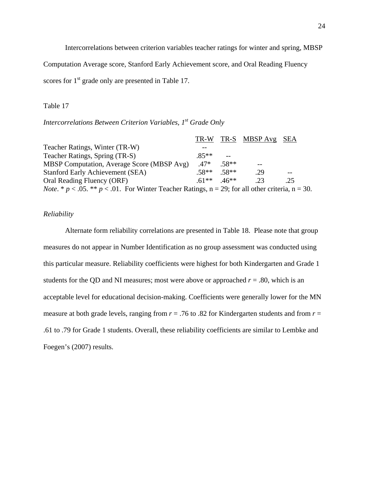Intercorrelations between criterion variables teacher ratings for winter and spring, MBSP

Computation Average score, Stanford Early Achievement score, and Oral Reading Fluency

scores for 1<sup>st</sup> grade only are presented in Table 17.

#### Table 17

*Intercorrelations Between Criterion Variables, 1<sup>st</sup> Grade Only* 

|                                                                                                                     |        |         | TR-W TR-S MBSP Avg SEA |     |  |
|---------------------------------------------------------------------------------------------------------------------|--------|---------|------------------------|-----|--|
| Teacher Ratings, Winter (TR-W)                                                                                      |        |         |                        |     |  |
| Teacher Ratings, Spring (TR-S)                                                                                      | $85**$ |         |                        |     |  |
| MBSP Computation, Average Score (MBSP Avg)                                                                          | $.47*$ | $.58**$ |                        |     |  |
| <b>Stanford Early Achievement (SEA)</b>                                                                             | $58**$ | 58**    | .29                    |     |  |
| Oral Reading Fluency (ORF)                                                                                          | $61**$ | $.46**$ | -23                    | .25 |  |
| <i>Note.</i> * $p < .05$ . ** $p < .01$ . For Winter Teacher Ratings, $n = 29$ ; for all other criteria, $n = 30$ . |        |         |                        |     |  |

#### *Reliability*

Alternate form reliability correlations are presented in Table 18. Please note that group measures do not appear in Number Identification as no group assessment was conducted using this particular measure. Reliability coefficients were highest for both Kindergarten and Grade 1 students for the QD and NI measures; most were above or approached  $r = .80$ , which is an acceptable level for educational decision-making. Coefficients were generally lower for the MN measure at both grade levels, ranging from  $r = .76$  to .82 for Kindergarten students and from  $r =$ .61 to .79 for Grade 1 students. Overall, these reliability coefficients are similar to Lembke and Foegen's (2007) results.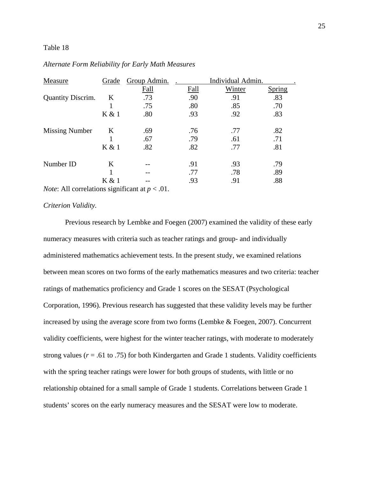#### Table 18

| Measure                  | Grade   | Group Admin. | Individual Admin. |        |               |  |  |
|--------------------------|---------|--------------|-------------------|--------|---------------|--|--|
|                          |         | Fall         | Fall              | Winter | <b>Spring</b> |  |  |
| <b>Quantity Discrim.</b> | K       | .73          | .90               | .91    | .83           |  |  |
|                          |         | .75          | .80               | .85    | .70           |  |  |
|                          | K & 1   | .80          | .93               | .92    | .83           |  |  |
| <b>Missing Number</b>    | K       | .69          | .76               | .77    | .82           |  |  |
|                          |         | .67          | .79               | .61    | .71           |  |  |
|                          | K & 1   | .82          | .82               | .77    | .81           |  |  |
| Number ID                | $\bf K$ |              | .91               | .93    | .79           |  |  |
|                          |         |              | .77               | .78    | .89           |  |  |
|                          | K & 1   |              | .93               | .91    | .88           |  |  |

#### *Alternate Form Reliability for Early Math Measures*

*Note*: All correlations significant at *p* < .01.

#### *Criterion Validity.*

 Previous research by Lembke and Foegen (2007) examined the validity of these early numeracy measures with criteria such as teacher ratings and group- and individually administered mathematics achievement tests. In the present study, we examined relations between mean scores on two forms of the early mathematics measures and two criteria: teacher ratings of mathematics proficiency and Grade 1 scores on the SESAT (Psychological Corporation, 1996). Previous research has suggested that these validity levels may be further increased by using the average score from two forms (Lembke & Foegen, 2007). Concurrent validity coefficients, were highest for the winter teacher ratings, with moderate to moderately strong values ( $r = .61$  to .75) for both Kindergarten and Grade 1 students. Validity coefficients with the spring teacher ratings were lower for both groups of students, with little or no relationship obtained for a small sample of Grade 1 students. Correlations between Grade 1 students' scores on the early numeracy measures and the SESAT were low to moderate.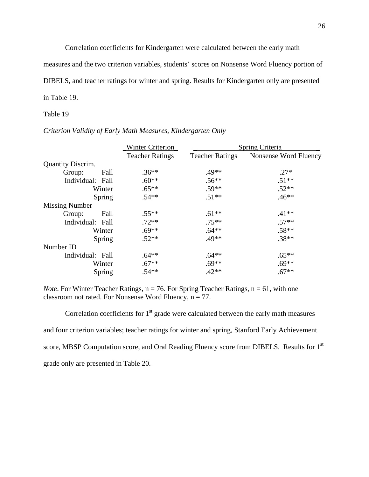Correlation coefficients for Kindergarten were calculated between the early math

measures and the two criterion variables, students' scores on Nonsense Word Fluency portion of

DIBELS, and teacher ratings for winter and spring. Results for Kindergarten only are presented

in Table 19.

#### Table 19

#### *Criterion Validity of Early Math Measures, Kindergarten Only*

|                          | <b>Winter Criterion</b> | Spring Criteria        |                       |  |  |
|--------------------------|-------------------------|------------------------|-----------------------|--|--|
|                          | <b>Teacher Ratings</b>  | <b>Teacher Ratings</b> | Nonsense Word Fluency |  |  |
| <b>Quantity Discrim.</b> |                         |                        |                       |  |  |
| Group:<br>Fall           | $.36**$                 | .49**                  | $.27*$                |  |  |
| Individual: Fall         | $.60**$                 | $.56***$               | $.51**$               |  |  |
| Winter                   | $.65**$                 | $.59**$                | $.52**$               |  |  |
| Spring                   | $.54**$                 | $.51**$                | $.46**$               |  |  |
| <b>Missing Number</b>    |                         |                        |                       |  |  |
| Fall<br>Group:           | $.55**$                 | $.61**$                | $.41**$               |  |  |
| Individual: Fall         | $.72**$                 | $.75***$               | $.57**$               |  |  |
| Winter                   | $.69**$                 | $.64**$                | $.58**$               |  |  |
| Spring                   | $.52**$                 | .49**                  | $.38**$               |  |  |
| Number ID                |                         |                        |                       |  |  |
| Individual: Fall         | $.64**$                 | $.64***$               | $.65***$              |  |  |
| Winter                   | $.67**$                 | $.69**$                | $.69**$               |  |  |
| Spring                   | $.54**$                 | $.42**$                | $.67**$               |  |  |

*Note*. For Winter Teacher Ratings,  $n = 76$ . For Spring Teacher Ratings,  $n = 61$ , with one classroom not rated. For Nonsense Word Fluency,  $n = 77$ .

Correlation coefficients for  $1<sup>st</sup>$  grade were calculated between the early math measures and four criterion variables; teacher ratings for winter and spring, Stanford Early Achievement score, MBSP Computation score, and Oral Reading Fluency score from DIBELS. Results for 1<sup>st</sup> grade only are presented in Table 20.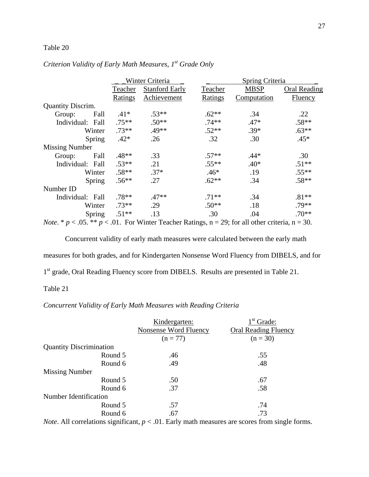## Table 20

## *Criterion Validity of Early Math Measures, 1st Grade Only*

|                                    |          | Winter Criteria                            |               | Spring Criteria |              |  |  |
|------------------------------------|----------|--------------------------------------------|---------------|-----------------|--------------|--|--|
|                                    | Teacher  | <b>Stanford Early</b>                      | Teacher       | <b>MBSP</b>     | Oral Reading |  |  |
|                                    | Ratings  | Achievement                                | Ratings       | Computation     | Fluency      |  |  |
| <b>Quantity Discrim.</b>           |          |                                            |               |                 |              |  |  |
| Fall<br>Group:                     | $.41*$   | $.53**$                                    | $.62**$       | .34             | .22          |  |  |
| Individual: Fall                   | $.75***$ | $.50**$                                    | $.74**$       | $.47*$          | $.58**$      |  |  |
| Winter                             | $.73**$  | $.49**$                                    | $.52**$       | $.39*$          | $.63**$      |  |  |
| Spring                             | $.42*$   | .26                                        | .32           | .30             | $.45*$       |  |  |
| <b>Missing Number</b>              |          |                                            |               |                 |              |  |  |
| Fall<br>Group:                     | $.48**$  | .33                                        | $.57**$       | $.44*$          | .30          |  |  |
| Individual: Fall                   | $.53**$  | .21                                        | $.55**$       | $.40*$          | $.51**$      |  |  |
| Winter                             | $.58**$  | $.37*$                                     | $.46*$        | .19             | $.55**$      |  |  |
| Spring                             | $.56**$  | .27                                        | $.62**$       | .34             | $.58**$      |  |  |
| Number ID                          |          |                                            |               |                 |              |  |  |
| Individual: Fall                   | $.78**$  | $.47**$                                    | $.71**$       | .34             | $.81**$      |  |  |
| Winter                             | $.73**$  | .29                                        | $.50**$       | .18             | $.79**$      |  |  |
| Spring                             | $.51**$  | .13                                        | .30           | .04             | $.70**$      |  |  |
| $\sim$ $\sim$ $\sim$ $\sim$ $\sim$ |          | $\sim$ 0.1 $\Gamma$ With $\sim$ $\Gamma$ 1 | $\sim$ $\sim$ |                 | $\Omega$     |  |  |

*Note.* \*  $p < .05$ . \*\*  $p < .01$ . For Winter Teacher Ratings,  $n = 29$ ; for all other criteria,  $n = 30$ .

 Concurrent validity of early math measures were calculated between the early math measures for both grades, and for Kindergarten Nonsense Word Fluency from DIBELS, and for 1<sup>st</sup> grade, Oral Reading Fluency score from DIBELS. Results are presented in Table 21.

## Table 21

## *Concurrent Validity of Early Math Measures with Reading Criteria*

|                                | Kindergarten:         | $1st$ Grade:                |
|--------------------------------|-----------------------|-----------------------------|
|                                | Nonsense Word Fluency | <b>Oral Reading Fluency</b> |
|                                | $(n = 77)$            | $(n = 30)$                  |
| <b>Quantity Discrimination</b> |                       |                             |
| Round 5                        | .46                   | .55                         |
| Round 6                        | .49                   | .48                         |
| <b>Missing Number</b>          |                       |                             |
| Round 5                        | .50                   | .67                         |
| Round 6                        | .37                   | .58                         |
| Number Identification          |                       |                             |
| Round 5                        | .57                   | .74                         |
| Round 6                        | .67                   | .73                         |

*Note*. All correlations significant,  $p < .01$ . Early math measures are scores from single forms.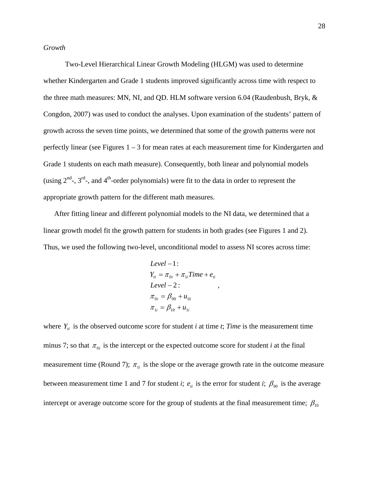*Growth*

 Two-Level Hierarchical Linear Growth Modeling (HLGM) was used to determine whether Kindergarten and Grade 1 students improved significantly across time with respect to the three math measures: MN, NI, and QD. HLM software version 6.04 (Raudenbush, Bryk, & Congdon, 2007) was used to conduct the analyses. Upon examination of the students' pattern of growth across the seven time points, we determined that some of the growth patterns were not perfectly linear (see Figures  $1 - 3$  for mean rates at each measurement time for Kindergarten and Grade 1 students on each math measure). Consequently, both linear and polynomial models (using  $2^{nd}$ -,  $3^{rd}$ -, and  $4^{th}$ -order polynomials) were fit to the data in order to represent the appropriate growth pattern for the different math measures.

After fitting linear and different polynomial models to the NI data, we determined that a linear growth model fit the growth pattern for students in both grades (see Figures 1 and 2). Thus, we used the following two-level, unconditional model to assess NI scores across time:

$$
Level - 1:
$$
\n
$$
Y_{ii} = \pi_{0i} + \pi_{1i} Time + e_{ii}
$$
\n
$$
Level - 2:
$$
\n
$$
\pi_{0i} = \beta_{00} + u_{0i}
$$
\n
$$
\pi_{1i} = \beta_{10} + u_{1i}
$$

,

where  $Y_i$  is the observed outcome score for student *i* at time *t*; *Time* is the measurement time minus 7; so that  $\pi_{0i}$  is the intercept or the expected outcome score for student *i* at the final measurement time (Round 7);  $\pi_{1i}$  is the slope or the average growth rate in the outcome measure between measurement time 1 and 7 for student *i*;  $e_{ii}$  is the error for student *i*;  $\beta_{00}$  is the average intercept or average outcome score for the group of students at the final measurement time;  $\beta_{10}$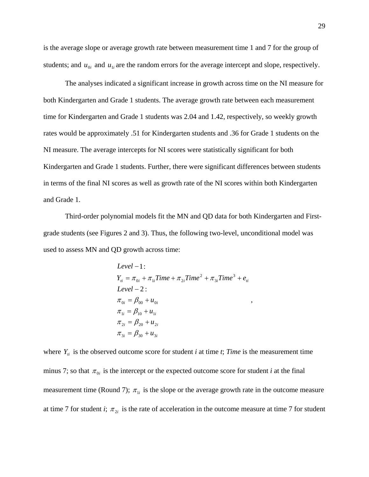is the average slope or average growth rate between measurement time 1 and 7 for the group of students; and  $u_{0i}$  and  $u_{1i}$  are the random errors for the average intercept and slope, respectively.

The analyses indicated a significant increase in growth across time on the NI measure for both Kindergarten and Grade 1 students. The average growth rate between each measurement time for Kindergarten and Grade 1 students was 2.04 and 1.42, respectively, so weekly growth rates would be approximately .51 for Kindergarten students and .36 for Grade 1 students on the NI measure. The average intercepts for NI scores were statistically significant for both Kindergarten and Grade 1 students. Further, there were significant differences between students in terms of the final NI scores as well as growth rate of the NI scores within both Kindergarten and Grade 1.

 Third-order polynomial models fit the MN and QD data for both Kindergarten and Firstgrade students (see Figures 2 and 3). Thus, the following two-level, unconditional model was used to assess MN and QD growth across time:

Level - 1:

\n
$$
Y_{ii} = \pi_{0i} + \pi_{1i} \text{Time} + \pi_{2i} \text{Time}^{2} + \pi_{3i} \text{Time}^{3} + e_{ii}
$$
\n
$$
\text{Level} - 2:
$$
\n
$$
\pi_{0i} = \beta_{00} + u_{0i}
$$
\n
$$
\pi_{1i} = \beta_{10} + u_{1i}
$$
\n
$$
\pi_{2i} = \beta_{20} + u_{2i}
$$
\n
$$
\pi_{3i} = \beta_{30} + u_{3i}
$$

,

where  $Y_i$  is the observed outcome score for student *i* at time *t*; *Time* is the measurement time minus 7; so that  $\pi_{0i}$  is the intercept or the expected outcome score for student *i* at the final measurement time (Round 7);  $\pi_{1i}$  is the slope or the average growth rate in the outcome measure at time 7 for student *i*;  $\pi_{2i}$  is the rate of acceleration in the outcome measure at time 7 for student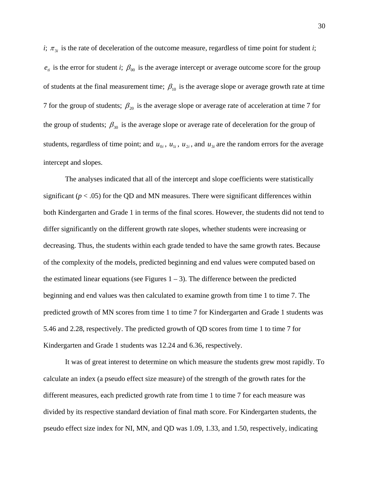*i*;  $\pi_{3i}$  is the rate of deceleration of the outcome measure, regardless of time point for student *i*;  $e_{ii}$  is the error for student *i*;  $\beta_{00}$  is the average intercept or average outcome score for the group of students at the final measurement time;  $\beta_{10}$  is the average slope or average growth rate at time 7 for the group of students;  $\beta_{20}$  is the average slope or average rate of acceleration at time 7 for the group of students;  $\beta_{30}$  is the average slope or average rate of deceleration for the group of students, regardless of time point; and  $u_{0i}$ ,  $u_{1i}$ ,  $u_{2i}$ , and  $u_{3i}$  are the random errors for the average intercept and slopes.

The analyses indicated that all of the intercept and slope coefficients were statistically significant  $(p < .05)$  for the QD and MN measures. There were significant differences within both Kindergarten and Grade 1 in terms of the final scores. However, the students did not tend to differ significantly on the different growth rate slopes, whether students were increasing or decreasing. Thus, the students within each grade tended to have the same growth rates. Because of the complexity of the models, predicted beginning and end values were computed based on the estimated linear equations (see Figures  $1 - 3$ ). The difference between the predicted beginning and end values was then calculated to examine growth from time 1 to time 7. The predicted growth of MN scores from time 1 to time 7 for Kindergarten and Grade 1 students was 5.46 and 2.28, respectively. The predicted growth of QD scores from time 1 to time 7 for Kindergarten and Grade 1 students was 12.24 and 6.36, respectively.

 It was of great interest to determine on which measure the students grew most rapidly. To calculate an index (a pseudo effect size measure) of the strength of the growth rates for the different measures, each predicted growth rate from time 1 to time 7 for each measure was divided by its respective standard deviation of final math score. For Kindergarten students, the pseudo effect size index for NI, MN, and QD was 1.09, 1.33, and 1.50, respectively, indicating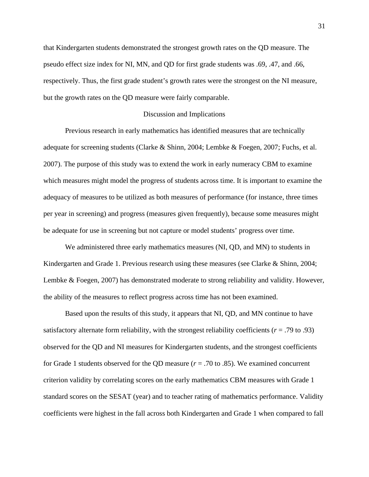that Kindergarten students demonstrated the strongest growth rates on the QD measure. The pseudo effect size index for NI, MN, and QD for first grade students was .69, .47, and .66, respectively. Thus, the first grade student's growth rates were the strongest on the NI measure, but the growth rates on the QD measure were fairly comparable.

#### Discussion and Implications

 Previous research in early mathematics has identified measures that are technically adequate for screening students (Clarke & Shinn, 2004; Lembke & Foegen, 2007; Fuchs, et al. 2007). The purpose of this study was to extend the work in early numeracy CBM to examine which measures might model the progress of students across time. It is important to examine the adequacy of measures to be utilized as both measures of performance (for instance, three times per year in screening) and progress (measures given frequently), because some measures might be adequate for use in screening but not capture or model students' progress over time.

 We administered three early mathematics measures (NI, QD, and MN) to students in Kindergarten and Grade 1. Previous research using these measures (see Clarke & Shinn, 2004; Lembke & Foegen, 2007) has demonstrated moderate to strong reliability and validity. However, the ability of the measures to reflect progress across time has not been examined.

 Based upon the results of this study, it appears that NI, QD, and MN continue to have satisfactory alternate form reliability, with the strongest reliability coefficients ( $r = .79$  to .93) observed for the QD and NI measures for Kindergarten students, and the strongest coefficients for Grade 1 students observed for the QD measure  $(r = .70 \text{ to } .85)$ . We examined concurrent criterion validity by correlating scores on the early mathematics CBM measures with Grade 1 standard scores on the SESAT (year) and to teacher rating of mathematics performance. Validity coefficients were highest in the fall across both Kindergarten and Grade 1 when compared to fall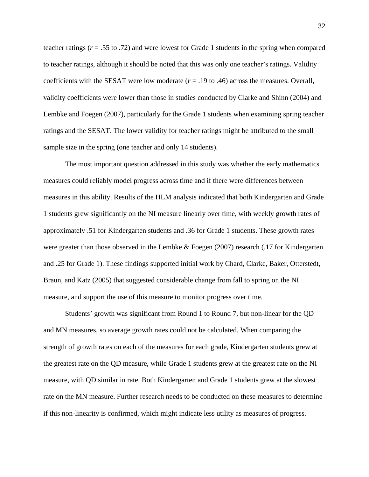teacher ratings (*r* = .55 to .72) and were lowest for Grade 1 students in the spring when compared to teacher ratings, although it should be noted that this was only one teacher's ratings. Validity coefficients with the SESAT were low moderate  $(r = .19$  to .46) across the measures. Overall, validity coefficients were lower than those in studies conducted by Clarke and Shinn (2004) and Lembke and Foegen (2007), particularly for the Grade 1 students when examining spring teacher ratings and the SESAT. The lower validity for teacher ratings might be attributed to the small sample size in the spring (one teacher and only 14 students).

 The most important question addressed in this study was whether the early mathematics measures could reliably model progress across time and if there were differences between measures in this ability. Results of the HLM analysis indicated that both Kindergarten and Grade 1 students grew significantly on the NI measure linearly over time, with weekly growth rates of approximately .51 for Kindergarten students and .36 for Grade 1 students. These growth rates were greater than those observed in the Lembke & Foegen (2007) research (.17 for Kindergarten and .25 for Grade 1). These findings supported initial work by Chard, Clarke, Baker, Otterstedt, Braun, and Katz (2005) that suggested considerable change from fall to spring on the NI measure, and support the use of this measure to monitor progress over time.

Students' growth was significant from Round 1 to Round 7, but non-linear for the QD and MN measures, so average growth rates could not be calculated. When comparing the strength of growth rates on each of the measures for each grade, Kindergarten students grew at the greatest rate on the QD measure, while Grade 1 students grew at the greatest rate on the NI measure, with QD similar in rate. Both Kindergarten and Grade 1 students grew at the slowest rate on the MN measure. Further research needs to be conducted on these measures to determine if this non-linearity is confirmed, which might indicate less utility as measures of progress.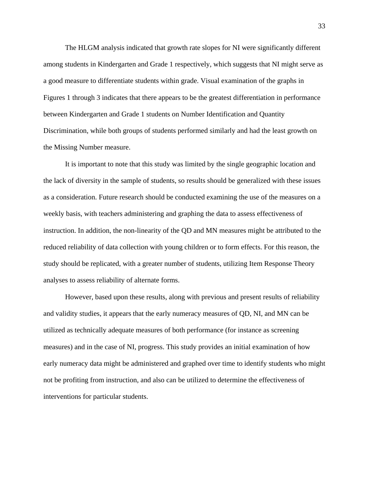The HLGM analysis indicated that growth rate slopes for NI were significantly different among students in Kindergarten and Grade 1 respectively, which suggests that NI might serve as a good measure to differentiate students within grade. Visual examination of the graphs in Figures 1 through 3 indicates that there appears to be the greatest differentiation in performance between Kindergarten and Grade 1 students on Number Identification and Quantity Discrimination, while both groups of students performed similarly and had the least growth on the Missing Number measure.

It is important to note that this study was limited by the single geographic location and the lack of diversity in the sample of students, so results should be generalized with these issues as a consideration. Future research should be conducted examining the use of the measures on a weekly basis, with teachers administering and graphing the data to assess effectiveness of instruction. In addition, the non-linearity of the QD and MN measures might be attributed to the reduced reliability of data collection with young children or to form effects. For this reason, the study should be replicated, with a greater number of students, utilizing Item Response Theory analyses to assess reliability of alternate forms.

However, based upon these results, along with previous and present results of reliability and validity studies, it appears that the early numeracy measures of QD, NI, and MN can be utilized as technically adequate measures of both performance (for instance as screening measures) and in the case of NI, progress. This study provides an initial examination of how early numeracy data might be administered and graphed over time to identify students who might not be profiting from instruction, and also can be utilized to determine the effectiveness of interventions for particular students.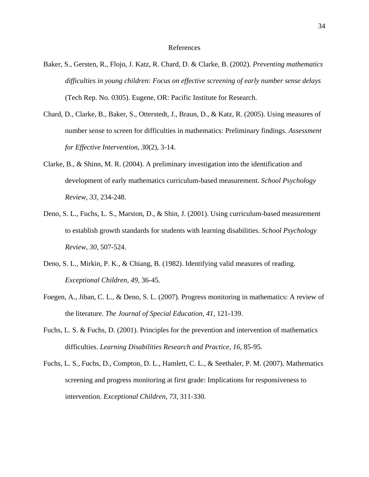#### References

- Baker, S., Gersten, R., Flojo, J. Katz, R. Chard, D. & Clarke, B. (2002). *Preventing mathematics difficulties in young children: Focus on effective screening of early number sense delays* (Tech Rep. No. 0305). Eugene, OR: Pacific Institute for Research.
- Chard, D., Clarke, B., Baker, S., Otterstedt, J., Braun, D., & Katz, R. (2005). Using measures of number sense to screen for difficulties in mathematics: Preliminary findings. *Assessment for Effective Intervention, 30*(2), 3-14.
- Clarke, B., & Shinn, M. R. (2004). A preliminary investigation into the identification and development of early mathematics curriculum-based measurement. *School Psychology Review, 33*, 234-248.
- Deno, S. L., Fuchs, L. S., Marston, D., & Shin, J. (2001). Using curriculum-based measurement to establish growth standards for students with learning disabilities. *School Psychology Review*, *30*, 507-524.
- Deno, S. L., Mirkin, P. K., & Chiang, B. (1982). Identifying valid measures of reading. *Exceptional Children, 49,* 36-45.
- Foegen, A., Jiban, C. L., & Deno, S. L. (2007). Progress monitoring in mathematics: A review of the literature. *The Journal of Special Education, 41*, 121-139.
- Fuchs, L. S. & Fuchs, D. (2001). Principles for the prevention and intervention of mathematics difficulties. *Learning Disabilities Research and Practice*, *16*, 85-95.
- Fuchs, L. S., Fuchs, D., Compton, D. L., Hamlett, C. L., & Seethaler, P. M. (2007). Mathematics screening and progress monitoring at first grade: Implications for responsiveness to intervention. *Exceptional Children*, *73*, 311-330.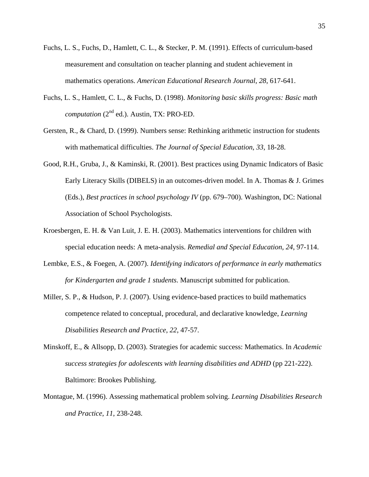- Fuchs, L. S., Fuchs, D., Hamlett, C. L., & Stecker, P. M. (1991). Effects of curriculum-based measurement and consultation on teacher planning and student achievement in mathematics operations. *American Educational Research Journal*, *28*, 617-641.
- Fuchs, L. S., Hamlett, C. L., & Fuchs, D. (1998). *Monitoring basic skills progress: Basic math computation* (2<sup>nd</sup> ed.). Austin, TX: PRO-ED.
- Gersten, R., & Chard, D. (1999). Numbers sense: Rethinking arithmetic instruction for students with mathematical difficulties. *The Journal of Special Education*, *33*, 18-28.
- Good, R.H., Gruba, J., & Kaminski, R. (2001). Best practices using Dynamic Indicators of Basic Early Literacy Skills (DIBELS) in an outcomes-driven model. In A. Thomas & J. Grimes (Eds.), *Best practices in school psychology IV* (pp. 679–700). Washington, DC: National Association of School Psychologists.
- Kroesbergen, E. H. & Van Luit, J. E. H. (2003). Mathematics interventions for children with special education needs: A meta-analysis. *Remedial and Special Education*, *24*, 97-114.
- Lembke, E.S., & Foegen, A. (2007). *Identifying indicators of performance in early mathematics for Kindergarten and grade 1 students*. Manuscript submitted for publication.
- Miller, S. P., & Hudson, P. J. (2007). Using evidence-based practices to build mathematics competence related to conceptual, procedural, and declarative knowledge, *Learning Disabilities Research and Practice*, *22*, 47-57.
- Minskoff, E., & Allsopp, D. (2003). Strategies for academic success: Mathematics. In *Academic success strategies for adolescents with learning disabilities and ADHD* (pp 221-222). Baltimore: Brookes Publishing.
- Montague, M. (1996). Assessing mathematical problem solving. *Learning Disabilities Research and Practice*, *11*, 238-248.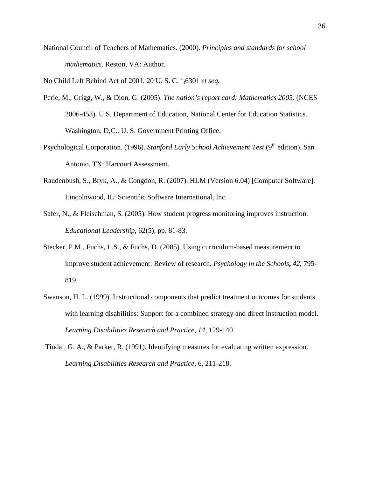National Council of Teachers of Mathematics. (2000). *Principles and standards for school mathematics*. Reston, VA: Author.

No Child Left Behind Act of 2001, 20 U. S. C. <sup>c</sup><sub>3</sub>6301 et seq.

- Perie, M., Grigg, W., & Dion, G. (2005). *The nation's report card: Mathematics 2005.* (NCES 2006-453). U.S. Department of Education, National Center for Education Statistics. Washington, D,C.: U. S. Government Printing Office.
- Psychological Corporation. (1996). *Stanford Early School Achievement Test* (9<sup>th</sup> edition). San Antonio, TX: Harcourt Assessment.
- Raudenbush, S., Bryk, A., & Congdon, R. (2007). HLM (Version 6.04) [Computer Software]. Lincolnwood, IL: Scientific Software International, Inc.
- Safer, N., & Fleischman, S. (2005). How student progress monitoring improves instruction. *Educational Leadership*, 62(5), pp. 81-83.
- Stecker, P.M., Fuchs, L.S., & Fuchs, D. (2005). Using curriculum-based measurement to improve student achievement: Review of research. *Psychology in the Schools***,** *42*, 795- 819.
- Swanson, H. L. (1999). Instructional components that predict treatment outcomes for students with learning disabilities: Support for a combined strategy and direct instruction model. *Learning Disabilities Research and Practice*, *14*, 129-140.
- Tindal, G. A., & Parker, R. (1991). Identifying measures for evaluating written expression. *Learning Disabilities Research and Practice*, 6, 211-218.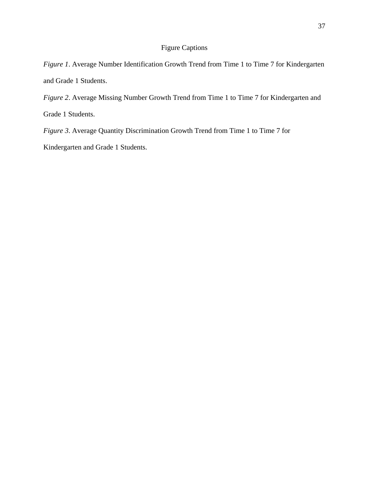## Figure Captions

*Figure 1*. Average Number Identification Growth Trend from Time 1 to Time 7 for Kindergarten and Grade 1 Students.

*Figure 2*. Average Missing Number Growth Trend from Time 1 to Time 7 for Kindergarten and Grade 1 Students.

*Figure 3*. Average Quantity Discrimination Growth Trend from Time 1 to Time 7 for

Kindergarten and Grade 1 Students.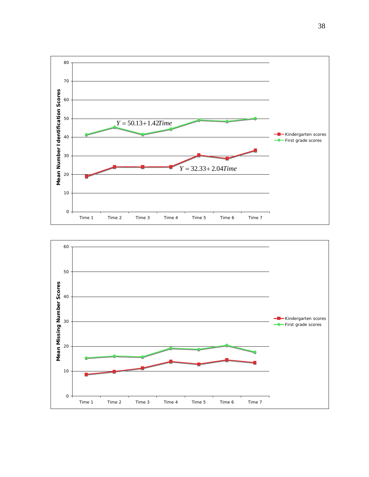